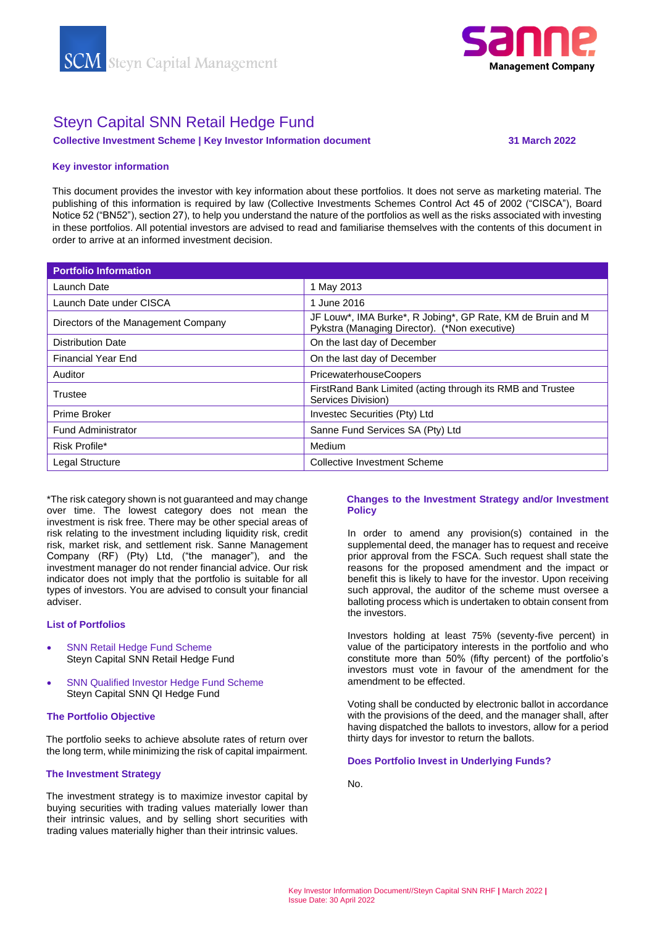



# Steyn Capital SNN Retail Hedge Fund

# **Collective Investment Scheme | Key Investor Information document 31 March 2022**

## **Key investor information**

This document provides the investor with key information about these portfolios. It does not serve as marketing material. The publishing of this information is required by law (Collective Investments Schemes Control Act 45 of 2002 ("CISCA"), Board Notice 52 ("BN52"), section 27), to help you understand the nature of the portfolios as well as the risks associated with investing in these portfolios. All potential investors are advised to read and familiarise themselves with the contents of this document in order to arrive at an informed investment decision.

| <b>Portfolio Information</b>        |                                                                                                              |  |
|-------------------------------------|--------------------------------------------------------------------------------------------------------------|--|
| Launch Date                         | 1 May 2013                                                                                                   |  |
| Launch Date under CISCA             | 1 June 2016                                                                                                  |  |
| Directors of the Management Company | JF Louw*, IMA Burke*, R Jobing*, GP Rate, KM de Bruin and M<br>Pykstra (Managing Director). (*Non executive) |  |
| <b>Distribution Date</b>            | On the last day of December                                                                                  |  |
| <b>Financial Year End</b>           | On the last day of December                                                                                  |  |
| Auditor                             | <b>PricewaterhouseCoopers</b>                                                                                |  |
| Trustee                             | FirstRand Bank Limited (acting through its RMB and Trustee<br>Services Division)                             |  |
| Prime Broker                        | Investec Securities (Pty) Ltd                                                                                |  |
| <b>Fund Administrator</b>           | Sanne Fund Services SA (Pty) Ltd                                                                             |  |
| Risk Profile*                       | Medium                                                                                                       |  |
| Legal Structure                     | <b>Collective Investment Scheme</b>                                                                          |  |

\*The risk category shown is not guaranteed and may change over time. The lowest category does not mean the investment is risk free. There may be other special areas of risk relating to the investment including liquidity risk, credit risk, market risk, and settlement risk. Sanne Management Company (RF) (Pty) Ltd, ("the manager"), and the investment manager do not render financial advice. Our risk indicator does not imply that the portfolio is suitable for all types of investors. You are advised to consult your financial adviser.

## **List of Portfolios**

- **SNN Retail Hedge Fund Scheme** Steyn Capital SNN Retail Hedge Fund
- **SNN Qualified Investor Hedge Fund Scheme** Steyn Capital SNN QI Hedge Fund

## **The Portfolio Objective**

The portfolio seeks to achieve absolute rates of return over the long term, while minimizing the risk of capital impairment.

#### **The Investment Strategy**

The investment strategy is to maximize investor capital by buying securities with trading values materially lower than their intrinsic values, and by selling short securities with trading values materially higher than their intrinsic values.

## **Changes to the Investment Strategy and/or Investment Policy**

In order to amend any provision(s) contained in the supplemental deed, the manager has to request and receive prior approval from the FSCA. Such request shall state the reasons for the proposed amendment and the impact or benefit this is likely to have for the investor. Upon receiving such approval, the auditor of the scheme must oversee a balloting process which is undertaken to obtain consent from the investors.

Investors holding at least 75% (seventy-five percent) in value of the participatory interests in the portfolio and who constitute more than 50% (fifty percent) of the portfolio's investors must vote in favour of the amendment for the amendment to be effected.

Voting shall be conducted by electronic ballot in accordance with the provisions of the deed, and the manager shall, after having dispatched the ballots to investors, allow for a period thirty days for investor to return the ballots.

## **Does Portfolio Invest in Underlying Funds?**

No.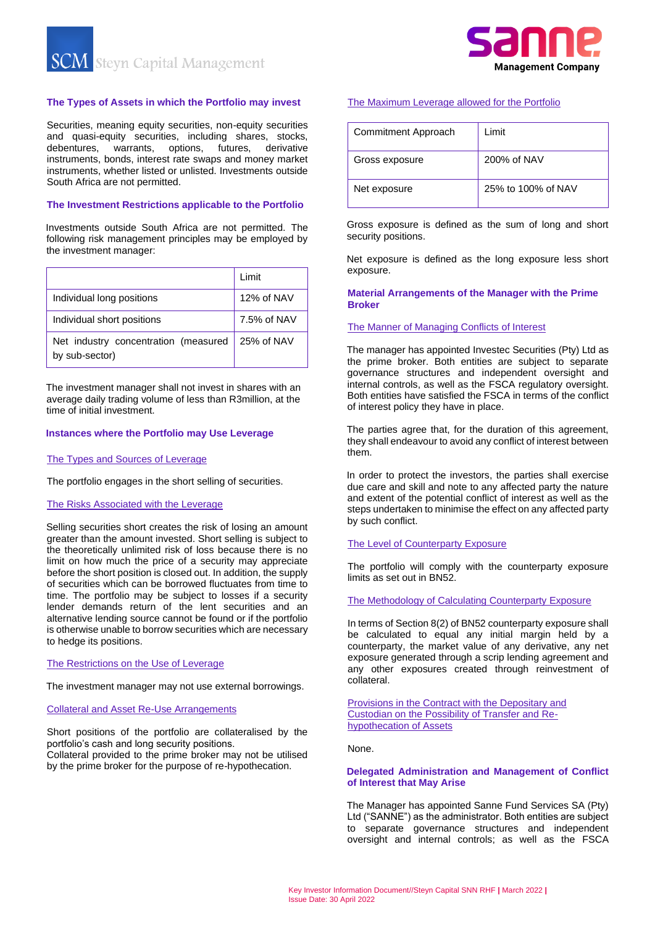**SCM** Steyn Capital Management



## **The Types of Assets in which the Portfolio may invest**

Securities, meaning equity securities, non-equity securities and quasi-equity securities, including shares, stocks, debentures, warrants, options, futures, derivative instruments, bonds, interest rate swaps and money market instruments, whether listed or unlisted. Investments outside South Africa are not permitted.

## **The Investment Restrictions applicable to the Portfolio**

Investments outside South Africa are not permitted. The following risk management principles may be employed by the investment manager:

|                                                        | Limit       |
|--------------------------------------------------------|-------------|
| Individual long positions                              | 12% of NAV  |
| Individual short positions                             | 7.5% of NAV |
| Net industry concentration (measured<br>by sub-sector) | 25% of NAV  |

The investment manager shall not invest in shares with an average daily trading volume of less than R3million, at the time of initial investment.

# **Instances where the Portfolio may Use Leverage**

#### The Types and Sources of Leverage

The portfolio engages in the short selling of securities.

## The Risks Associated with the Leverage

Selling securities short creates the risk of losing an amount greater than the amount invested. Short selling is subject to the theoretically unlimited risk of loss because there is no limit on how much the price of a security may appreciate before the short position is closed out. In addition, the supply of securities which can be borrowed fluctuates from time to time. The portfolio may be subject to losses if a security lender demands return of the lent securities and an alternative lending source cannot be found or if the portfolio is otherwise unable to borrow securities which are necessary to hedge its positions.

#### The Restrictions on the Use of Leverage

The investment manager may not use external borrowings.

## Collateral and Asset Re-Use Arrangements

Short positions of the portfolio are collateralised by the portfolio's cash and long security positions. Collateral provided to the prime broker may not be utilised

by the prime broker for the purpose of re-hypothecation.

## The Maximum Leverage allowed for the Portfolio

| Commitment Approach | Limit              |
|---------------------|--------------------|
| Gross exposure      | 200% of NAV        |
| Net exposure        | 25% to 100% of NAV |

Gross exposure is defined as the sum of long and short security positions.

Net exposure is defined as the long exposure less short exposure.

## **Material Arrangements of the Manager with the Prime Broker**

## The Manner of Managing Conflicts of Interest

The manager has appointed Investec Securities (Pty) Ltd as the prime broker. Both entities are subject to separate governance structures and independent oversight and internal controls, as well as the FSCA regulatory oversight. Both entities have satisfied the FSCA in terms of the conflict of interest policy they have in place.

The parties agree that, for the duration of this agreement, they shall endeavour to avoid any conflict of interest between them.

In order to protect the investors, the parties shall exercise due care and skill and note to any affected party the nature and extent of the potential conflict of interest as well as the steps undertaken to minimise the effect on any affected party by such conflict.

#### The Level of Counterparty Exposure

The portfolio will comply with the counterparty exposure limits as set out in BN52.

#### The Methodology of Calculating Counterparty Exposure

In terms of Section 8(2) of BN52 counterparty exposure shall be calculated to equal any initial margin held by a counterparty, the market value of any derivative, any net exposure generated through a scrip lending agreement and any other exposures created through reinvestment of collateral.

Provisions in the Contract with the Depositary and Custodian on the Possibility of Transfer and Rehypothecation of Assets

None.

#### **Delegated Administration and Management of Conflict of Interest that May Arise**

The Manager has appointed Sanne Fund Services SA (Pty) Ltd ("SANNE") as the administrator. Both entities are subject to separate governance structures and independent oversight and internal controls; as well as the FSCA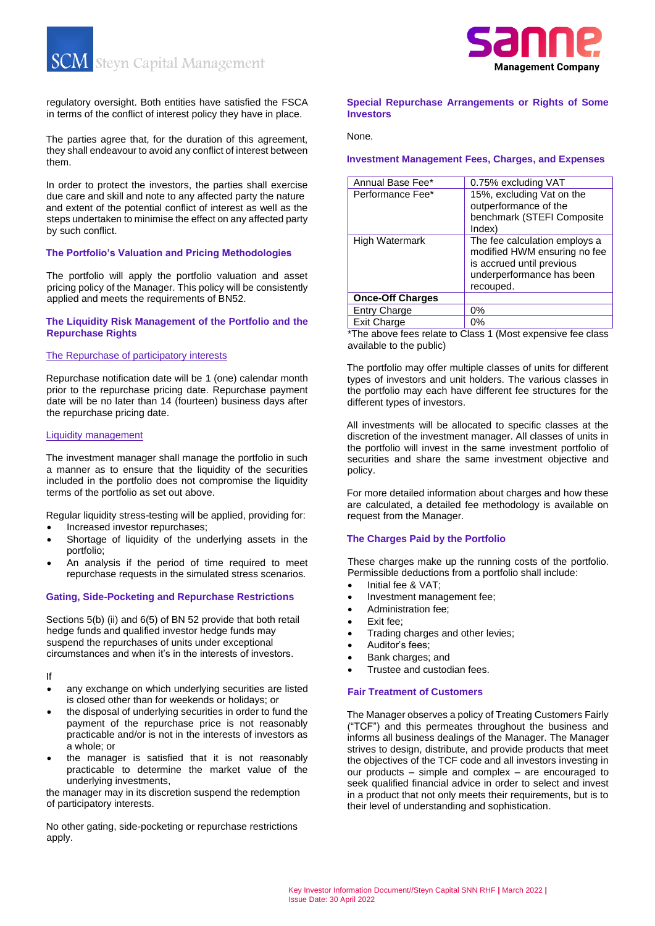**SCM** Steyn Capital Management



regulatory oversight. Both entities have satisfied the FSCA in terms of the conflict of interest policy they have in place.

The parties agree that, for the duration of this agreement, they shall endeavour to avoid any conflict of interest between them.

In order to protect the investors, the parties shall exercise due care and skill and note to any affected party the nature and extent of the potential conflict of interest as well as the steps undertaken to minimise the effect on any affected party by such conflict.

## **The Portfolio's Valuation and Pricing Methodologies**

The portfolio will apply the portfolio valuation and asset pricing policy of the Manager. This policy will be consistently applied and meets the requirements of BN52.

## **The Liquidity Risk Management of the Portfolio and the Repurchase Rights**

## The Repurchase of participatory interests

Repurchase notification date will be 1 (one) calendar month prior to the repurchase pricing date. Repurchase payment date will be no later than 14 (fourteen) business days after the repurchase pricing date.

#### Liquidity management

The investment manager shall manage the portfolio in such a manner as to ensure that the liquidity of the securities included in the portfolio does not compromise the liquidity terms of the portfolio as set out above.

Regular liquidity stress-testing will be applied, providing for:

- Increased investor repurchases;
- Shortage of liquidity of the underlying assets in the portfolio;
- An analysis if the period of time required to meet repurchase requests in the simulated stress scenarios.

#### **Gating, Side-Pocketing and Repurchase Restrictions**

Sections 5(b) (ii) and 6(5) of BN 52 provide that both retail hedge funds and qualified investor hedge funds may suspend the repurchases of units under exceptional circumstances and when it's in the interests of investors.

If

- any exchange on which underlying securities are listed is closed other than for weekends or holidays; or
- the disposal of underlying securities in order to fund the payment of the repurchase price is not reasonably practicable and/or is not in the interests of investors as a whole; or
- the manager is satisfied that it is not reasonably practicable to determine the market value of the underlying investments,

the manager may in its discretion suspend the redemption of participatory interests.

No other gating, side-pocketing or repurchase restrictions apply.

# **Special Repurchase Arrangements or Rights of Some Investors**

None.

## **Investment Management Fees, Charges, and Expenses**

| Annual Base Fee*        | 0.75% excluding VAT                                                                                                                  |
|-------------------------|--------------------------------------------------------------------------------------------------------------------------------------|
| Performance Fee*        | 15%, excluding Vat on the<br>outperformance of the<br>benchmark (STEFI Composite<br>Index)                                           |
| High Watermark          | The fee calculation employs a<br>modified HWM ensuring no fee<br>is accrued until previous<br>underperformance has been<br>recouped. |
| <b>Once-Off Charges</b> |                                                                                                                                      |
| <b>Entry Charge</b>     | 0%                                                                                                                                   |
| <b>Exit Charge</b>      | $0\%$                                                                                                                                |

\*The above fees relate to Class 1 (Most expensive fee class available to the public)

The portfolio may offer multiple classes of units for different types of investors and unit holders. The various classes in the portfolio may each have different fee structures for the different types of investors.

All investments will be allocated to specific classes at the discretion of the investment manager. All classes of units in the portfolio will invest in the same investment portfolio of securities and share the same investment objective and policy.

For more detailed information about charges and how these are calculated, a detailed fee methodology is available on request from the Manager.

#### **The Charges Paid by the Portfolio**

These charges make up the running costs of the portfolio. Permissible deductions from a portfolio shall include:

- Initial fee & VAT;
- Investment management fee;
- Administration fee;
- Exit fee;
- Trading charges and other levies;
- Auditor's fees:
- Bank charges; and
- Trustee and custodian fees.

#### **Fair Treatment of Customers**

The Manager observes a policy of Treating Customers Fairly ("TCF") and this permeates throughout the business and informs all business dealings of the Manager. The Manager strives to design, distribute, and provide products that meet the objectives of the TCF code and all investors investing in our products – simple and complex – are encouraged to seek qualified financial advice in order to select and invest in a product that not only meets their requirements, but is to their level of understanding and sophistication.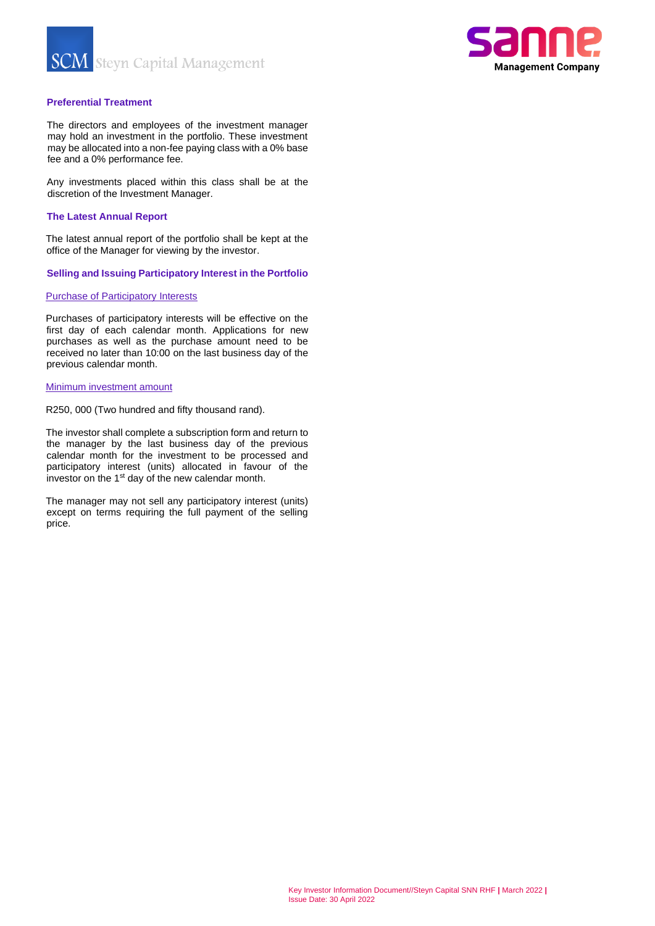**SCM** Steyn Capital Management



# **Preferential Treatment**

The directors and employees of the investment manager may hold an investment in the portfolio. These investment may be allocated into a non-fee paying class with a 0% base fee and a 0% performance fee.

Any investments placed within this class shall be at the discretion of the Investment Manager.

## **The Latest Annual Report**

The latest annual report of the portfolio shall be kept at the office of the Manager for viewing by the investor.

**Selling and Issuing Participatory Interest in the Portfolio** 

## Purchase of Participatory Interests

Purchases of participatory interests will be effective on the first day of each calendar month. Applications for new purchases as well as the purchase amount need to be received no later than 10:00 on the last business day of the previous calendar month.

#### Minimum investment amount

R250, 000 (Two hundred and fifty thousand rand).

The investor shall complete a subscription form and return to the manager by the last business day of the previous calendar month for the investment to be processed and participatory interest (units) allocated in favour of the investor on the 1<sup>st</sup> day of the new calendar month.

The manager may not sell any participatory interest (units) except on terms requiring the full payment of the selling price.